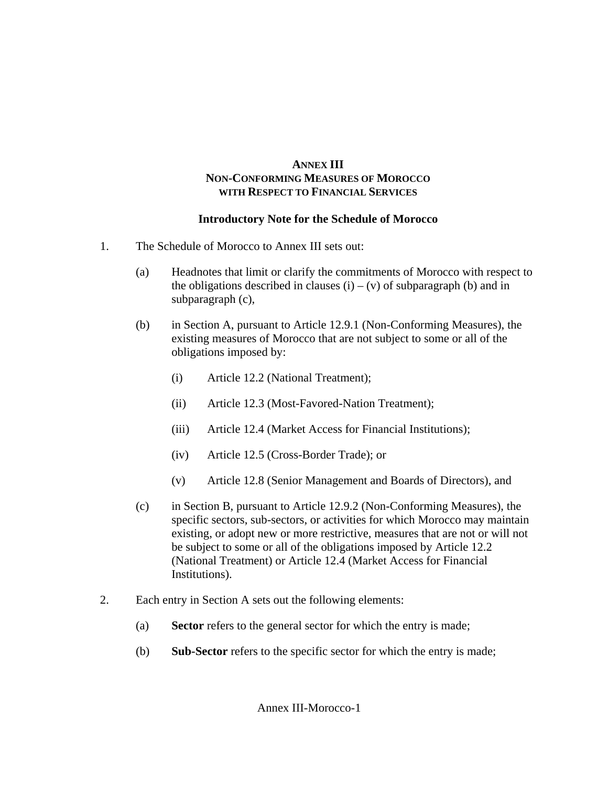# **ANNEX III NON-CONFORMING MEASURES OF MOROCCO WITH RESPECT TO FINANCIAL SERVICES**

# **Introductory Note for the Schedule of Morocco**

- 1. The Schedule of Morocco to Annex III sets out:
	- (a) Headnotes that limit or clarify the commitments of Morocco with respect to the obligations described in clauses  $(i) - (v)$  of subparagraph (b) and in subparagraph (c),
	- (b) in Section A, pursuant to Article 12.9.1 (Non-Conforming Measures), the existing measures of Morocco that are not subject to some or all of the obligations imposed by:
		- (i) Article 12.2 (National Treatment);
		- (ii) Article 12.3 (Most-Favored-Nation Treatment);
		- (iii) Article 12.4 (Market Access for Financial Institutions);
		- (iv) Article 12.5 (Cross-Border Trade); or
		- (v) Article 12.8 (Senior Management and Boards of Directors), and
	- (c) in Section B, pursuant to Article 12.9.2 (Non-Conforming Measures), the specific sectors, sub-sectors, or activities for which Morocco may maintain existing, or adopt new or more restrictive, measures that are not or will not be subject to some or all of the obligations imposed by Article 12.2 (National Treatment) or Article 12.4 (Market Access for Financial Institutions).
- 2. Each entry in Section A sets out the following elements:
	- (a) **Sector** refers to the general sector for which the entry is made;
	- (b) **Sub-Sector** refers to the specific sector for which the entry is made;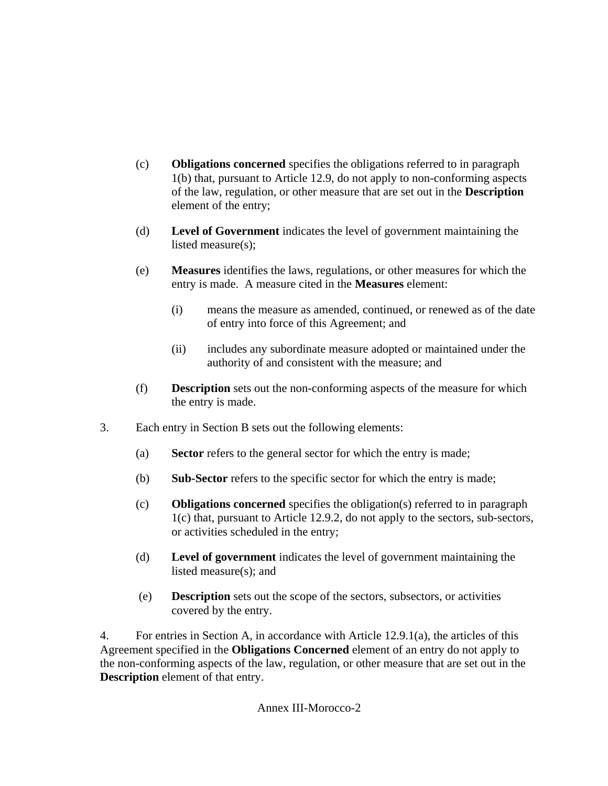- (c) **Obligations concerned** specifies the obligations referred to in paragraph 1(b) that, pursuant to Article 12.9, do not apply to non-conforming aspects of the law, regulation, or other measure that are set out in the **Description** element of the entry;
- (d) **Level of Government** indicates the level of government maintaining the listed measure(s);
- (e) **Measures** identifies the laws, regulations, or other measures for which the entry is made. A measure cited in the **Measures** element:
	- (i) means the measure as amended, continued, or renewed as of the date of entry into force of this Agreement; and
	- (ii) includes any subordinate measure adopted or maintained under the authority of and consistent with the measure; and
- (f) **Description** sets out the non-conforming aspects of the measure for which the entry is made.
- 3. Each entry in Section B sets out the following elements:
	- (a) **Sector** refers to the general sector for which the entry is made;
	- (b) **Sub-Sector** refers to the specific sector for which the entry is made;
	- (c) **Obligations concerned** specifies the obligation(s) referred to in paragraph 1(c) that, pursuant to Article 12.9.2, do not apply to the sectors, sub-sectors, or activities scheduled in the entry;
	- (d) **Level of government** indicates the level of government maintaining the listed measure(s); and
	- (e) **Description** sets out the scope of the sectors, subsectors, or activities covered by the entry.

4. For entries in Section A, in accordance with Article 12.9.1(a), the articles of this Agreement specified in the **Obligations Concerned** element of an entry do not apply to the non-conforming aspects of the law, regulation, or other measure that are set out in the **Description** element of that entry.

Annex III-Morocco-2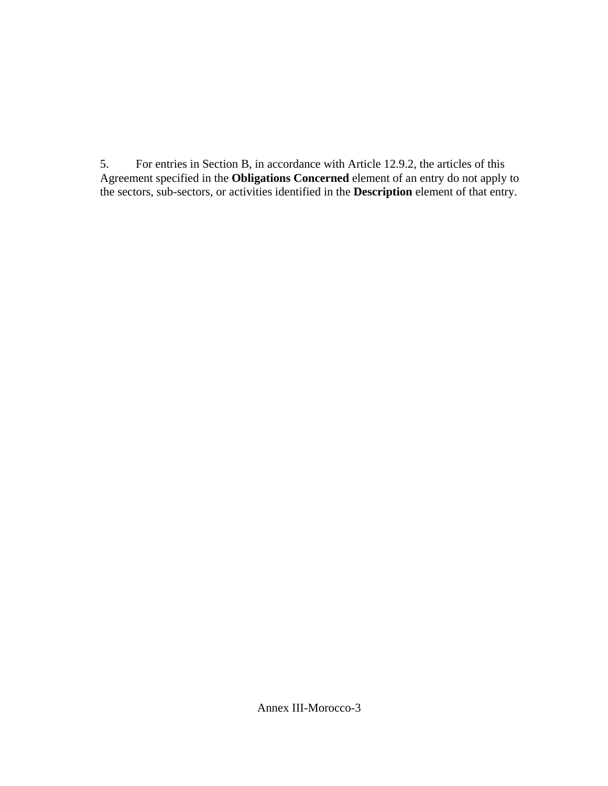5. For entries in Section B, in accordance with Article 12.9.2, the articles of this Agreement specified in the **Obligations Concerned** element of an entry do not apply to the sectors, sub-sectors, or activities identified in the **Description** element of that entry.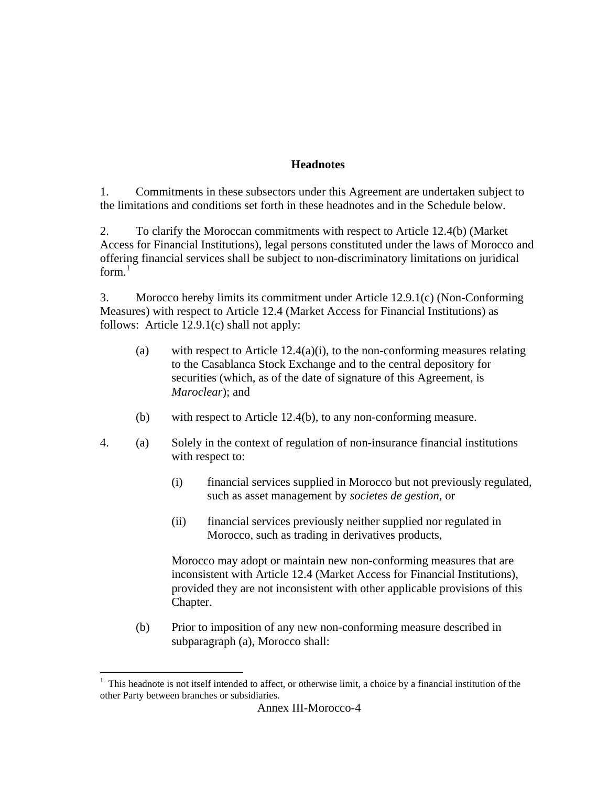#### **Headnotes**

1. Commitments in these subsectors under this Agreement are undertaken subject to the limitations and conditions set forth in these headnotes and in the Schedule below.

2. To clarify the Moroccan commitments with respect to Article 12.4(b) (Market Access for Financial Institutions), legal persons constituted under the laws of Morocco and offering financial services shall be subject to non-discriminatory limitations on juridical form. $<sup>1</sup>$ </sup>

3. Morocco hereby limits its commitment under Article 12.9.1(c) (Non-Conforming Measures) with respect to Article 12.4 (Market Access for Financial Institutions) as follows: Article 12.9.1(c) shall not apply:

- (a) with respect to Article  $12.4(a)(i)$ , to the non-conforming measures relating to the Casablanca Stock Exchange and to the central depository for securities (which, as of the date of signature of this Agreement, is *Maroclear*); and
- (b) with respect to Article 12.4(b), to any non-conforming measure.
- 4. (a) Solely in the context of regulation of non-insurance financial institutions with respect to:
	- (i) financial services supplied in Morocco but not previously regulated, such as asset management by *societes de gestion*, or
	- (ii) financial services previously neither supplied nor regulated in Morocco, such as trading in derivatives products,

 Morocco may adopt or maintain new non-conforming measures that are inconsistent with Article 12.4 (Market Access for Financial Institutions), provided they are not inconsistent with other applicable provisions of this Chapter.

(b) Prior to imposition of any new non-conforming measure described in subparagraph (a), Morocco shall:

 $\overline{a}$ 

<sup>1</sup> This headnote is not itself intended to affect, or otherwise limit, a choice by a financial institution of the other Party between branches or subsidiaries.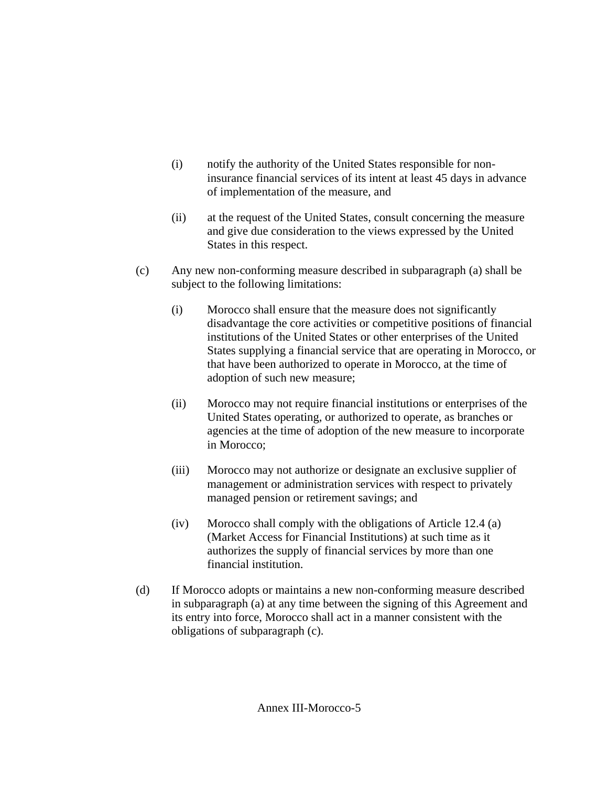- (i) notify the authority of the United States responsible for noninsurance financial services of its intent at least 45 days in advance of implementation of the measure, and
- (ii) at the request of the United States, consult concerning the measure and give due consideration to the views expressed by the United States in this respect.
- (c) Any new non-conforming measure described in subparagraph (a) shall be subject to the following limitations:
	- (i) Morocco shall ensure that the measure does not significantly disadvantage the core activities or competitive positions of financial institutions of the United States or other enterprises of the United States supplying a financial service that are operating in Morocco, or that have been authorized to operate in Morocco, at the time of adoption of such new measure;
	- (ii) Morocco may not require financial institutions or enterprises of the United States operating, or authorized to operate, as branches or agencies at the time of adoption of the new measure to incorporate in Morocco;
	- (iii) Morocco may not authorize or designate an exclusive supplier of management or administration services with respect to privately managed pension or retirement savings; and
	- (iv) Morocco shall comply with the obligations of Article 12.4 (a) (Market Access for Financial Institutions) at such time as it authorizes the supply of financial services by more than one financial institution.
- (d) If Morocco adopts or maintains a new non-conforming measure described in subparagraph (a) at any time between the signing of this Agreement and its entry into force, Morocco shall act in a manner consistent with the obligations of subparagraph (c).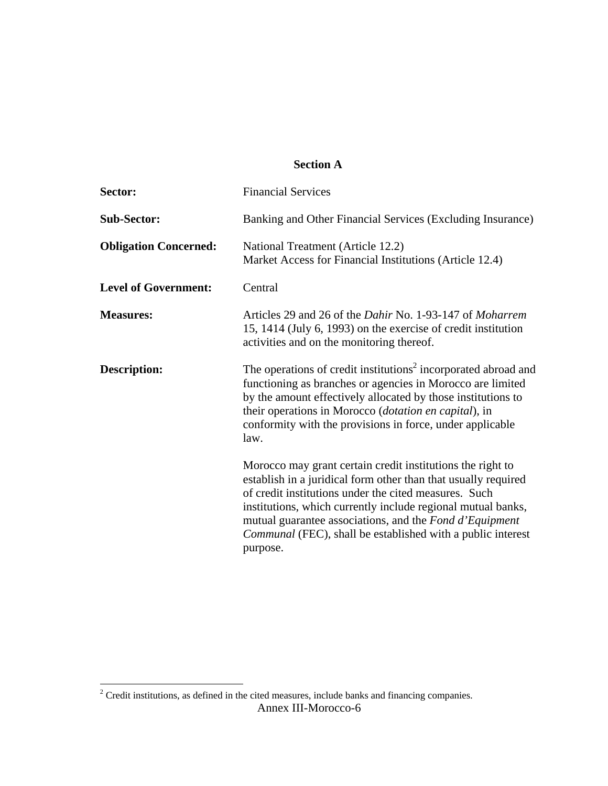# **Section A**

| Sector:                      | <b>Financial Services</b>                                                                                                                                                                                                                                                                                                                                                                          |
|------------------------------|----------------------------------------------------------------------------------------------------------------------------------------------------------------------------------------------------------------------------------------------------------------------------------------------------------------------------------------------------------------------------------------------------|
| <b>Sub-Sector:</b>           | Banking and Other Financial Services (Excluding Insurance)                                                                                                                                                                                                                                                                                                                                         |
| <b>Obligation Concerned:</b> | National Treatment (Article 12.2)<br>Market Access for Financial Institutions (Article 12.4)                                                                                                                                                                                                                                                                                                       |
| <b>Level of Government:</b>  | Central                                                                                                                                                                                                                                                                                                                                                                                            |
| <b>Measures:</b>             | Articles 29 and 26 of the <i>Dahir</i> No. 1-93-147 of <i>Moharrem</i><br>15, 1414 (July 6, 1993) on the exercise of credit institution<br>activities and on the monitoring thereof.                                                                                                                                                                                                               |
| Description:                 | The operations of credit institutions <sup>2</sup> incorporated abroad and<br>functioning as branches or agencies in Morocco are limited<br>by the amount effectively allocated by those institutions to<br>their operations in Morocco (dotation en capital), in<br>conformity with the provisions in force, under applicable<br>law.                                                             |
|                              | Morocco may grant certain credit institutions the right to<br>establish in a juridical form other than that usually required<br>of credit institutions under the cited measures. Such<br>institutions, which currently include regional mutual banks,<br>mutual guarantee associations, and the Fond d'Equipment<br><i>Communal</i> (FEC), shall be established with a public interest<br>purpose. |

Annex III-Morocco-6 <sup>2</sup> Credit institutions, as defined in the cited measures, include banks and financing companies.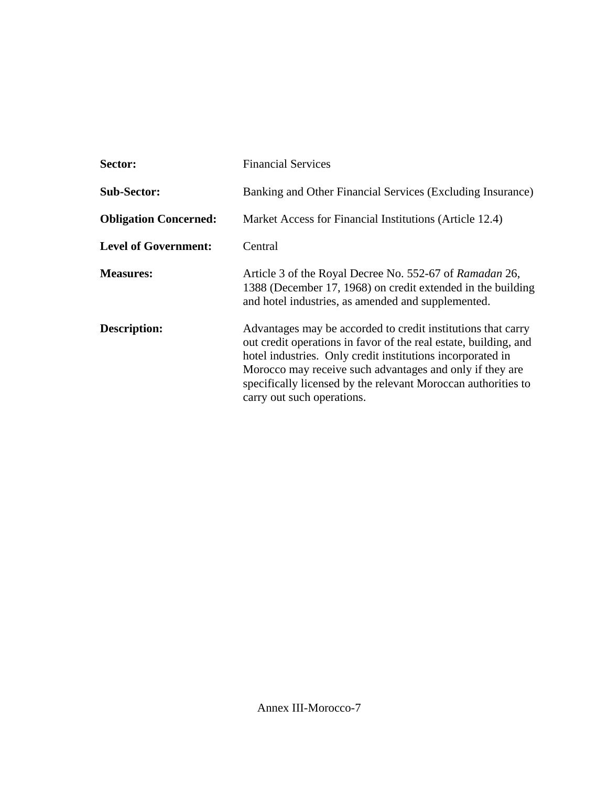| Sector:                      | <b>Financial Services</b>                                                                                                                                                                                                                                                                                                                                 |
|------------------------------|-----------------------------------------------------------------------------------------------------------------------------------------------------------------------------------------------------------------------------------------------------------------------------------------------------------------------------------------------------------|
| <b>Sub-Sector:</b>           | Banking and Other Financial Services (Excluding Insurance)                                                                                                                                                                                                                                                                                                |
| <b>Obligation Concerned:</b> | Market Access for Financial Institutions (Article 12.4)                                                                                                                                                                                                                                                                                                   |
| <b>Level of Government:</b>  | Central                                                                                                                                                                                                                                                                                                                                                   |
| <b>Measures:</b>             | Article 3 of the Royal Decree No. 552-67 of Ramadan 26,<br>1388 (December 17, 1968) on credit extended in the building<br>and hotel industries, as amended and supplemented.                                                                                                                                                                              |
| Description:                 | Advantages may be accorded to credit institutions that carry<br>out credit operations in favor of the real estate, building, and<br>hotel industries. Only credit institutions incorporated in<br>Morocco may receive such advantages and only if they are<br>specifically licensed by the relevant Moroccan authorities to<br>carry out such operations. |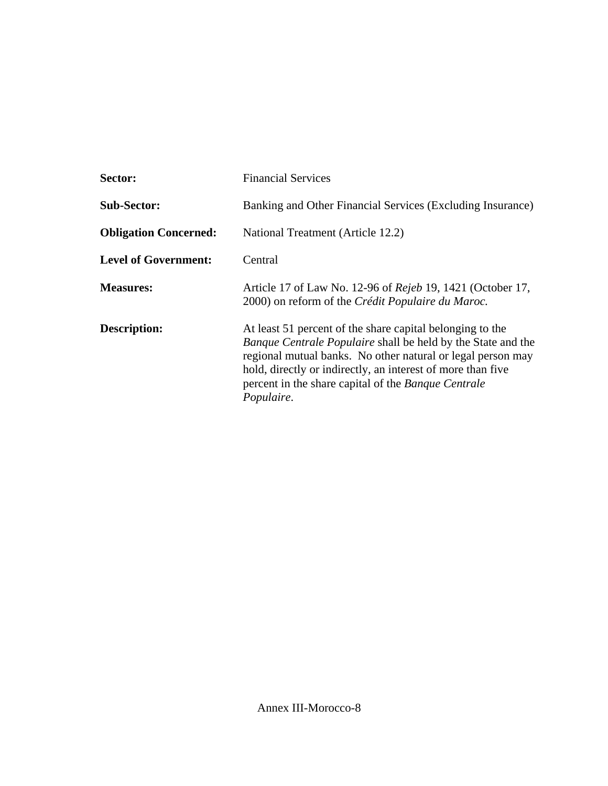| Sector:                      | <b>Financial Services</b>                                                                                                                                                                                                                                                                                                           |
|------------------------------|-------------------------------------------------------------------------------------------------------------------------------------------------------------------------------------------------------------------------------------------------------------------------------------------------------------------------------------|
| <b>Sub-Sector:</b>           | Banking and Other Financial Services (Excluding Insurance)                                                                                                                                                                                                                                                                          |
| <b>Obligation Concerned:</b> | National Treatment (Article 12.2)                                                                                                                                                                                                                                                                                                   |
| <b>Level of Government:</b>  | Central                                                                                                                                                                                                                                                                                                                             |
| <b>Measures:</b>             | Article 17 of Law No. 12-96 of <i>Rejeb</i> 19, 1421 (October 17,<br>2000) on reform of the Crédit Populaire du Maroc.                                                                                                                                                                                                              |
| Description:                 | At least 51 percent of the share capital belonging to the<br><i>Banque Centrale Populaire</i> shall be held by the State and the<br>regional mutual banks. No other natural or legal person may<br>hold, directly or indirectly, an interest of more than five<br>percent in the share capital of the Banque Centrale<br>Populaire. |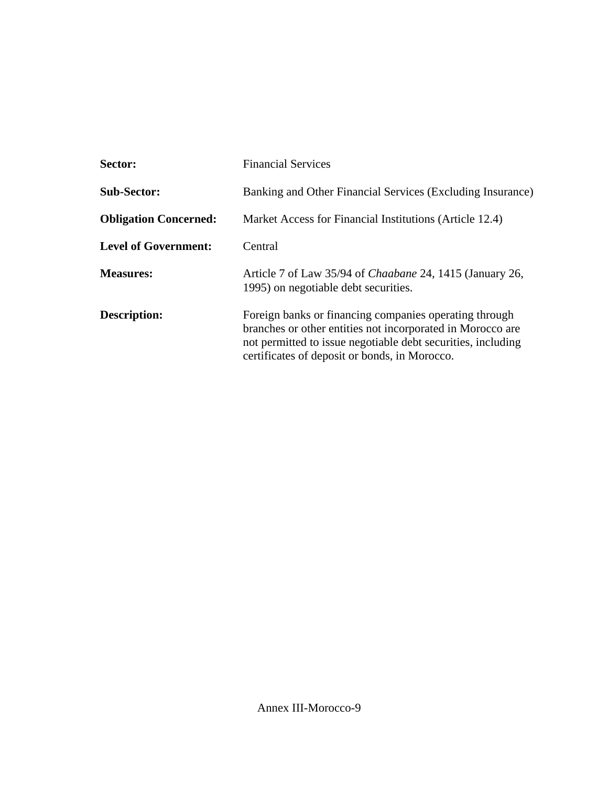| Sector:                      | <b>Financial Services</b>                                                                                                                                                                                                             |
|------------------------------|---------------------------------------------------------------------------------------------------------------------------------------------------------------------------------------------------------------------------------------|
| <b>Sub-Sector:</b>           | Banking and Other Financial Services (Excluding Insurance)                                                                                                                                                                            |
| <b>Obligation Concerned:</b> | Market Access for Financial Institutions (Article 12.4)                                                                                                                                                                               |
| <b>Level of Government:</b>  | Central                                                                                                                                                                                                                               |
| <b>Measures:</b>             | Article 7 of Law 35/94 of <i>Chaabane</i> 24, 1415 (January 26,<br>1995) on negotiable debt securities.                                                                                                                               |
| Description:                 | Foreign banks or financing companies operating through<br>branches or other entities not incorporated in Morocco are<br>not permitted to issue negotiable debt securities, including<br>certificates of deposit or bonds, in Morocco. |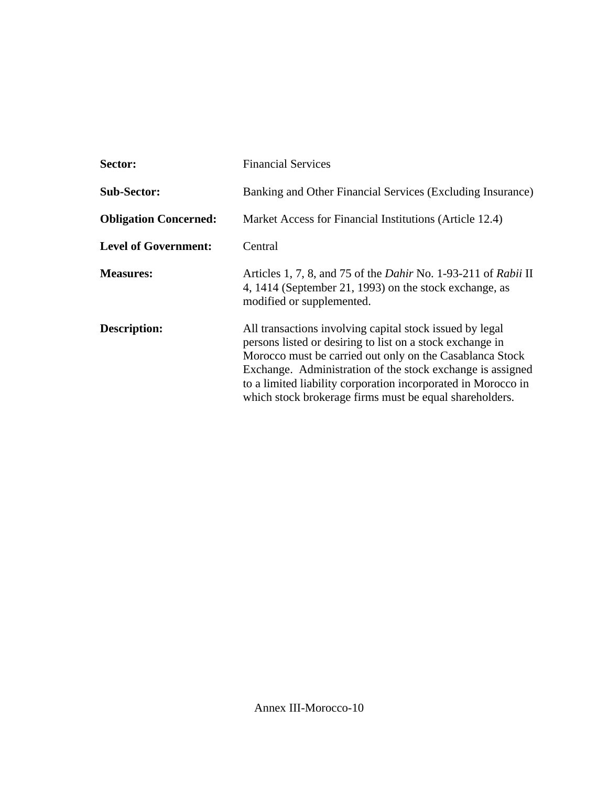| Sector:                      | <b>Financial Services</b>                                                                                                                                                                                                                                                                                                                                                   |
|------------------------------|-----------------------------------------------------------------------------------------------------------------------------------------------------------------------------------------------------------------------------------------------------------------------------------------------------------------------------------------------------------------------------|
| <b>Sub-Sector:</b>           | Banking and Other Financial Services (Excluding Insurance)                                                                                                                                                                                                                                                                                                                  |
| <b>Obligation Concerned:</b> | Market Access for Financial Institutions (Article 12.4)                                                                                                                                                                                                                                                                                                                     |
| <b>Level of Government:</b>  | Central                                                                                                                                                                                                                                                                                                                                                                     |
| <b>Measures:</b>             | Articles 1, 7, 8, and 75 of the <i>Dahir</i> No. 1-93-211 of <i>Rabii</i> II<br>4, 1414 (September 21, 1993) on the stock exchange, as<br>modified or supplemented.                                                                                                                                                                                                         |
| Description:                 | All transactions involving capital stock issued by legal<br>persons listed or desiring to list on a stock exchange in<br>Morocco must be carried out only on the Casablanca Stock<br>Exchange. Administration of the stock exchange is assigned<br>to a limited liability corporation incorporated in Morocco in<br>which stock brokerage firms must be equal shareholders. |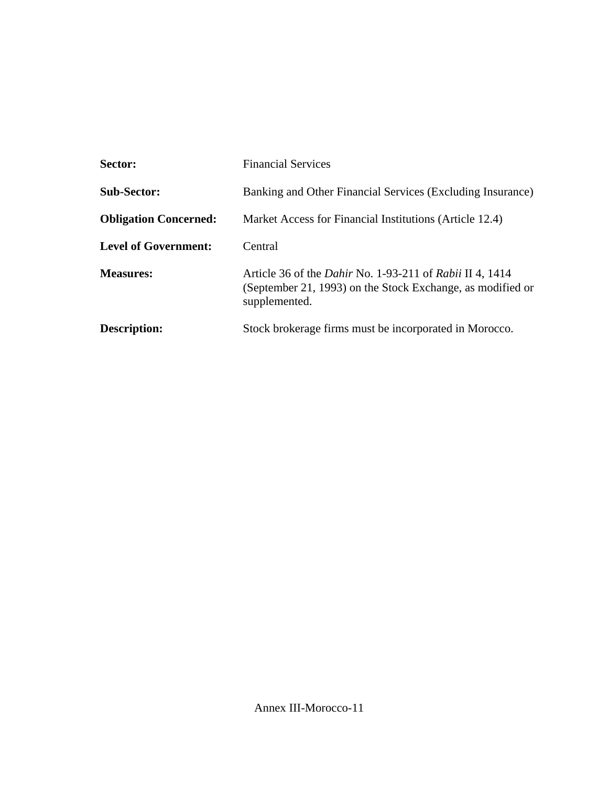| Sector:                      | <b>Financial Services</b>                                                                                                                             |
|------------------------------|-------------------------------------------------------------------------------------------------------------------------------------------------------|
| <b>Sub-Sector:</b>           | Banking and Other Financial Services (Excluding Insurance)                                                                                            |
| <b>Obligation Concerned:</b> | Market Access for Financial Institutions (Article 12.4)                                                                                               |
| <b>Level of Government:</b>  | Central                                                                                                                                               |
| <b>Measures:</b>             | Article 36 of the <i>Dahir</i> No. 1-93-211 of <i>Rabii</i> II 4, 1414<br>(September 21, 1993) on the Stock Exchange, as modified or<br>supplemented. |
| Description:                 | Stock brokerage firms must be incorporated in Morocco.                                                                                                |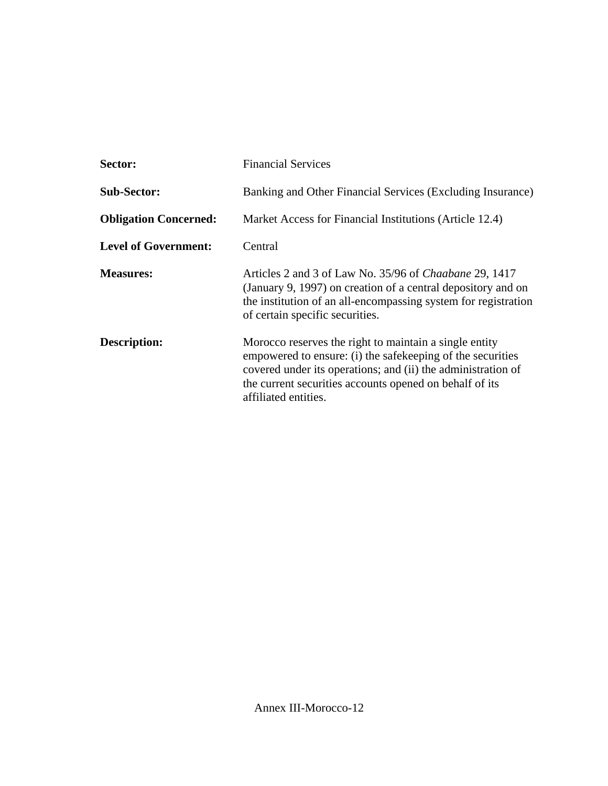| Sector:                      | <b>Financial Services</b>                                                                                                                                                                                                                                               |
|------------------------------|-------------------------------------------------------------------------------------------------------------------------------------------------------------------------------------------------------------------------------------------------------------------------|
| <b>Sub-Sector:</b>           | Banking and Other Financial Services (Excluding Insurance)                                                                                                                                                                                                              |
| <b>Obligation Concerned:</b> | Market Access for Financial Institutions (Article 12.4)                                                                                                                                                                                                                 |
| <b>Level of Government:</b>  | Central                                                                                                                                                                                                                                                                 |
| <b>Measures:</b>             | Articles 2 and 3 of Law No. 35/96 of Chaabane 29, 1417<br>(January 9, 1997) on creation of a central depository and on<br>the institution of an all-encompassing system for registration<br>of certain specific securities.                                             |
| Description:                 | Morocco reserves the right to maintain a single entity<br>empowered to ensure: (i) the safekeeping of the securities<br>covered under its operations; and (ii) the administration of<br>the current securities accounts opened on behalf of its<br>affiliated entities. |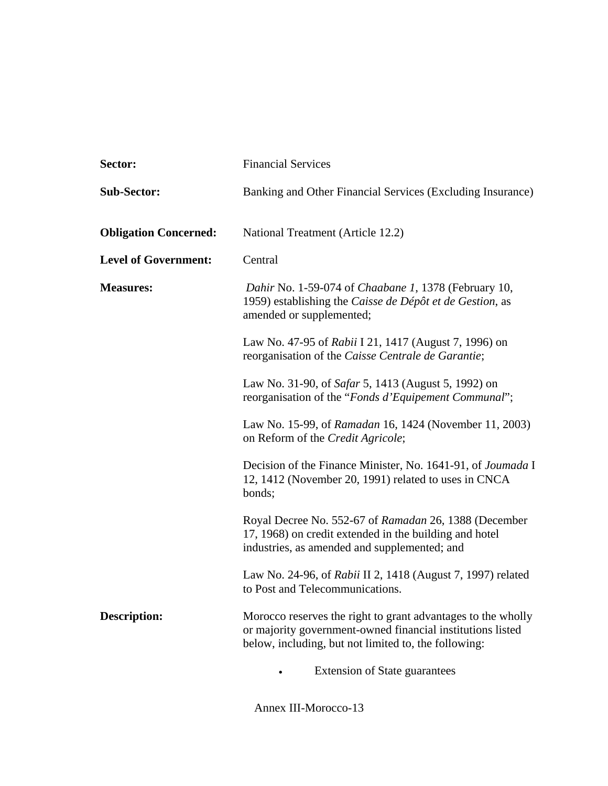| Sector:                      | <b>Financial Services</b>                                                                                                                                                          |
|------------------------------|------------------------------------------------------------------------------------------------------------------------------------------------------------------------------------|
| <b>Sub-Sector:</b>           | Banking and Other Financial Services (Excluding Insurance)                                                                                                                         |
| <b>Obligation Concerned:</b> | National Treatment (Article 12.2)                                                                                                                                                  |
| <b>Level of Government:</b>  | Central                                                                                                                                                                            |
| <b>Measures:</b>             | Dahir No. 1-59-074 of Chaabane 1, 1378 (February 10,<br>1959) establishing the Caisse de Dépôt et de Gestion, as<br>amended or supplemented;                                       |
|                              | Law No. 47-95 of Rabii I 21, 1417 (August 7, 1996) on<br>reorganisation of the Caisse Centrale de Garantie;                                                                        |
|                              | Law No. 31-90, of <i>Safar</i> 5, 1413 (August 5, 1992) on<br>reorganisation of the "Fonds d'Equipement Communal";                                                                 |
|                              | Law No. 15-99, of Ramadan 16, 1424 (November 11, 2003)<br>on Reform of the Credit Agricole;                                                                                        |
|                              | Decision of the Finance Minister, No. 1641-91, of <i>Joumada</i> I<br>12, 1412 (November 20, 1991) related to uses in CNCA<br>bonds;                                               |
|                              | Royal Decree No. 552-67 of Ramadan 26, 1388 (December<br>17, 1968) on credit extended in the building and hotel<br>industries, as amended and supplemented; and                    |
|                              | Law No. 24-96, of Rabii II 2, 1418 (August 7, 1997) related<br>to Post and Telecommunications.                                                                                     |
| <b>Description:</b>          | Morocco reserves the right to grant advantages to the wholly<br>or majority government-owned financial institutions listed<br>below, including, but not limited to, the following: |
|                              | <b>Extension of State guarantees</b>                                                                                                                                               |

Annex III-Morocco-13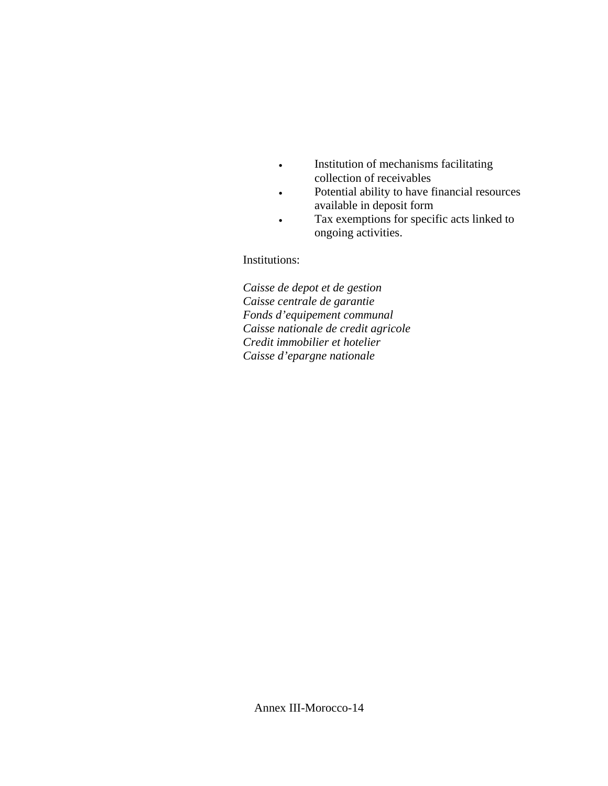- Institution of mechanisms facilitating collection of receivables
- Potential ability to have financial resources available in deposit form
- Tax exemptions for specific acts linked to ongoing activities.

Institutions:

*Caisse de depot et de gestion Caisse centrale de garantie Fonds d'equipement communal Caisse nationale de credit agricole Credit immobilier et hotelier Caisse d'epargne nationale*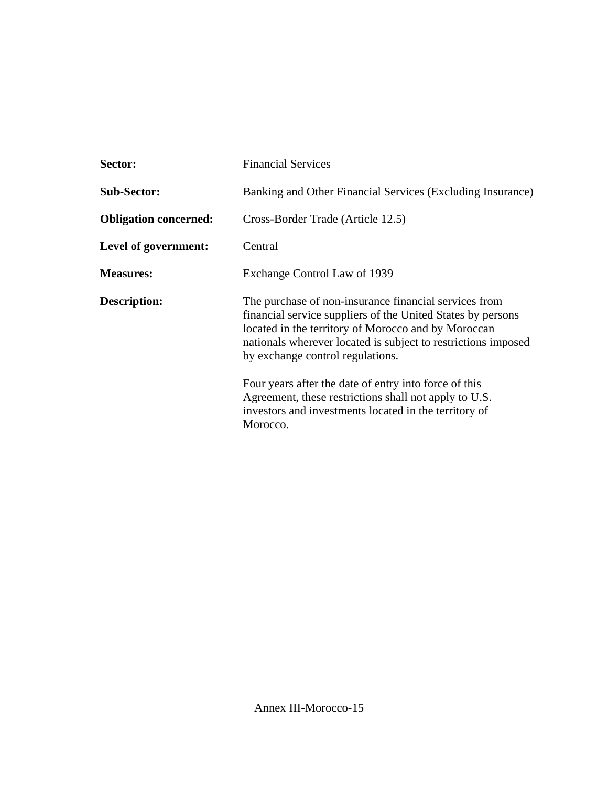| Sector:                      | <b>Financial Services</b>                                                                                                                                                                                                                                                                                                                                                                          |
|------------------------------|----------------------------------------------------------------------------------------------------------------------------------------------------------------------------------------------------------------------------------------------------------------------------------------------------------------------------------------------------------------------------------------------------|
| <b>Sub-Sector:</b>           | Banking and Other Financial Services (Excluding Insurance)                                                                                                                                                                                                                                                                                                                                         |
| <b>Obligation concerned:</b> | Cross-Border Trade (Article 12.5)                                                                                                                                                                                                                                                                                                                                                                  |
| Level of government:         | Central                                                                                                                                                                                                                                                                                                                                                                                            |
| <b>Measures:</b>             | Exchange Control Law of 1939                                                                                                                                                                                                                                                                                                                                                                       |
| <b>Description:</b>          | The purchase of non-insurance financial services from<br>financial service suppliers of the United States by persons<br>located in the territory of Morocco and by Moroccan<br>nationals wherever located is subject to restrictions imposed<br>by exchange control regulations.<br>Four years after the date of entry into force of this<br>Agreement, these restrictions shall not apply to U.S. |
|                              | investors and investments located in the territory of<br>Morocco.                                                                                                                                                                                                                                                                                                                                  |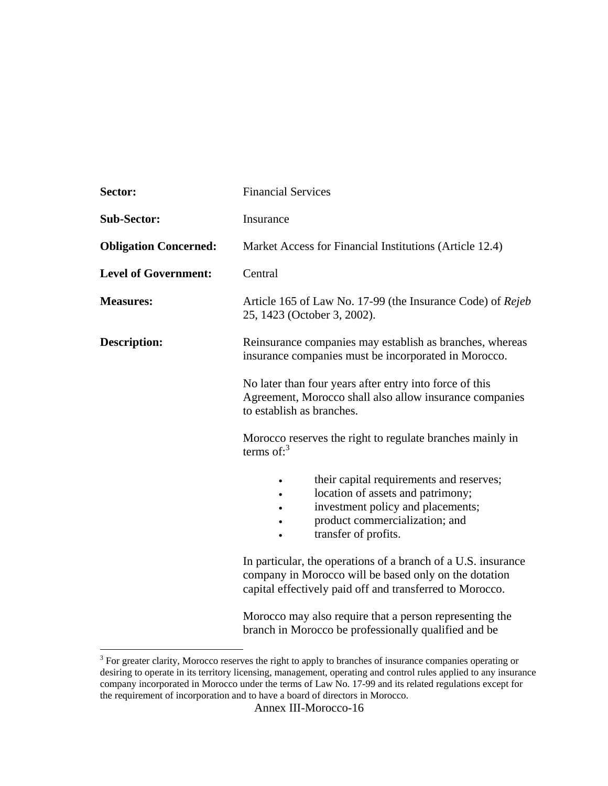| Sector:                      | <b>Financial Services</b>                                                                                                                                                          |
|------------------------------|------------------------------------------------------------------------------------------------------------------------------------------------------------------------------------|
| <b>Sub-Sector:</b>           | Insurance                                                                                                                                                                          |
| <b>Obligation Concerned:</b> | Market Access for Financial Institutions (Article 12.4)                                                                                                                            |
| <b>Level of Government:</b>  | Central                                                                                                                                                                            |
| <b>Measures:</b>             | Article 165 of Law No. 17-99 (the Insurance Code) of Rejeb<br>25, 1423 (October 3, 2002).                                                                                          |
| <b>Description:</b>          | Reinsurance companies may establish as branches, whereas<br>insurance companies must be incorporated in Morocco.                                                                   |
|                              | No later than four years after entry into force of this<br>Agreement, Morocco shall also allow insurance companies<br>to establish as branches.                                    |
|                              | Morocco reserves the right to regulate branches mainly in<br>terms of: $3$                                                                                                         |
|                              | their capital requirements and reserves;<br>location of assets and patrimony;<br>investment policy and placements;<br>product commercialization; and<br>transfer of profits.       |
|                              | In particular, the operations of a branch of a U.S. insurance<br>company in Morocco will be based only on the dotation<br>capital effectively paid off and transferred to Morocco. |
|                              | Morocco may also require that a person representing the<br>branch in Morocco be professionally qualified and be                                                                    |

<sup>&</sup>lt;sup>3</sup> For greater clarity, Morocco reserves the right to apply to branches of insurance companies operating or desiring to operate in its territory licensing, management, operating and control rules applied to any insurance company incorporated in Morocco under the terms of Law No. 17-99 and its related regulations except for the requirement of incorporation and to have a board of directors in Morocco.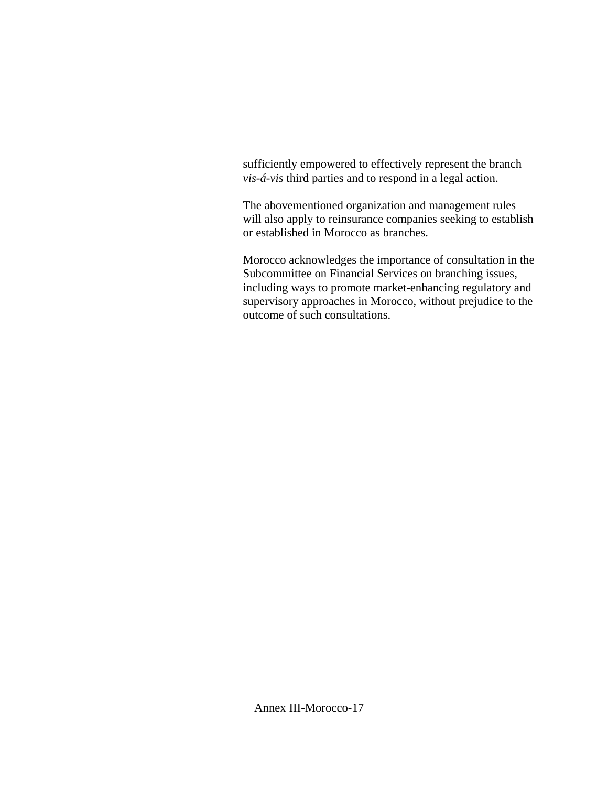sufficiently empowered to effectively represent the branch *vis-á-vis* third parties and to respond in a legal action.

The abovementioned organization and management rules will also apply to reinsurance companies seeking to establish or established in Morocco as branches.

Morocco acknowledges the importance of consultation in the Subcommittee on Financial Services on branching issues, including ways to promote market-enhancing regulatory and supervisory approaches in Morocco, without prejudice to the outcome of such consultations.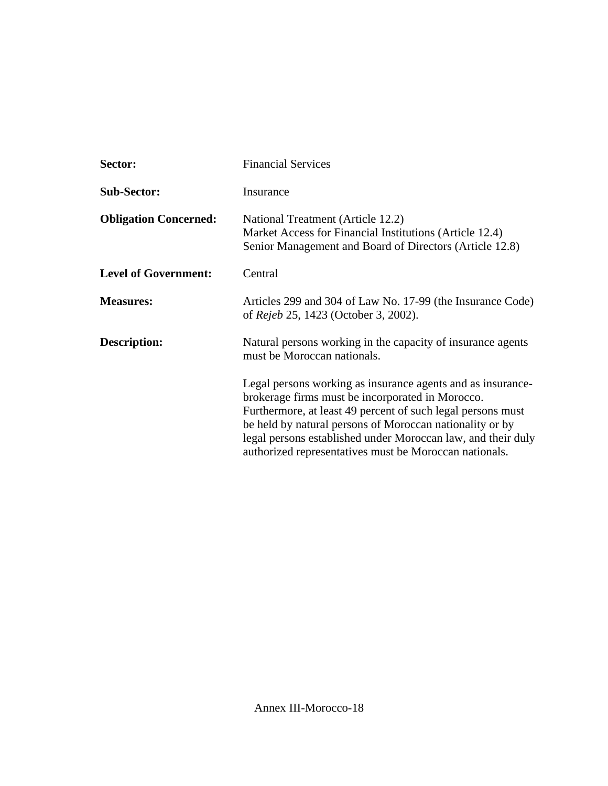| Sector:                      | <b>Financial Services</b>                                                                                                                                                                                                                                                                                                                                            |
|------------------------------|----------------------------------------------------------------------------------------------------------------------------------------------------------------------------------------------------------------------------------------------------------------------------------------------------------------------------------------------------------------------|
| <b>Sub-Sector:</b>           | Insurance                                                                                                                                                                                                                                                                                                                                                            |
| <b>Obligation Concerned:</b> | National Treatment (Article 12.2)<br>Market Access for Financial Institutions (Article 12.4)<br>Senior Management and Board of Directors (Article 12.8)                                                                                                                                                                                                              |
| <b>Level of Government:</b>  | Central                                                                                                                                                                                                                                                                                                                                                              |
| <b>Measures:</b>             | Articles 299 and 304 of Law No. 17-99 (the Insurance Code)<br>of <i>Rejeb</i> 25, 1423 (October 3, 2002).                                                                                                                                                                                                                                                            |
| <b>Description:</b>          | Natural persons working in the capacity of insurance agents<br>must be Moroccan nationals.                                                                                                                                                                                                                                                                           |
|                              | Legal persons working as insurance agents and as insurance-<br>brokerage firms must be incorporated in Morocco.<br>Furthermore, at least 49 percent of such legal persons must<br>be held by natural persons of Moroccan nationality or by<br>legal persons established under Moroccan law, and their duly<br>authorized representatives must be Moroccan nationals. |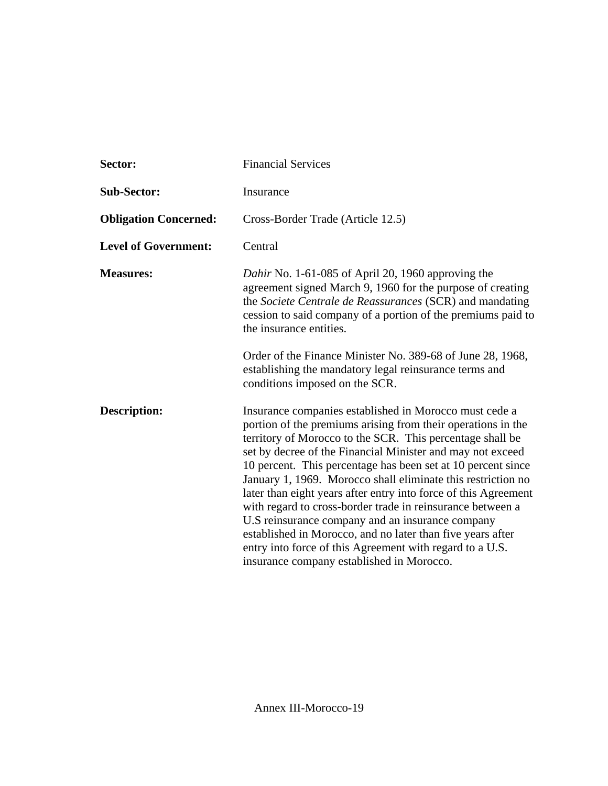| Sector:                      | <b>Financial Services</b>                                                                                                                                                                                                                                                                                                                                                                                                                                                                                                                                                                                                                                                                                                                     |
|------------------------------|-----------------------------------------------------------------------------------------------------------------------------------------------------------------------------------------------------------------------------------------------------------------------------------------------------------------------------------------------------------------------------------------------------------------------------------------------------------------------------------------------------------------------------------------------------------------------------------------------------------------------------------------------------------------------------------------------------------------------------------------------|
| <b>Sub-Sector:</b>           | Insurance                                                                                                                                                                                                                                                                                                                                                                                                                                                                                                                                                                                                                                                                                                                                     |
| <b>Obligation Concerned:</b> | Cross-Border Trade (Article 12.5)                                                                                                                                                                                                                                                                                                                                                                                                                                                                                                                                                                                                                                                                                                             |
| <b>Level of Government:</b>  | Central                                                                                                                                                                                                                                                                                                                                                                                                                                                                                                                                                                                                                                                                                                                                       |
| <b>Measures:</b>             | Dahir No. 1-61-085 of April 20, 1960 approving the<br>agreement signed March 9, 1960 for the purpose of creating<br>the Societe Centrale de Reassurances (SCR) and mandating<br>cession to said company of a portion of the premiums paid to<br>the insurance entities.                                                                                                                                                                                                                                                                                                                                                                                                                                                                       |
|                              | Order of the Finance Minister No. 389-68 of June 28, 1968,<br>establishing the mandatory legal reinsurance terms and<br>conditions imposed on the SCR.                                                                                                                                                                                                                                                                                                                                                                                                                                                                                                                                                                                        |
| <b>Description:</b>          | Insurance companies established in Morocco must cede a<br>portion of the premiums arising from their operations in the<br>territory of Morocco to the SCR. This percentage shall be<br>set by decree of the Financial Minister and may not exceed<br>10 percent. This percentage has been set at 10 percent since<br>January 1, 1969. Morocco shall eliminate this restriction no<br>later than eight years after entry into force of this Agreement<br>with regard to cross-border trade in reinsurance between a<br>U.S reinsurance company and an insurance company<br>established in Morocco, and no later than five years after<br>entry into force of this Agreement with regard to a U.S.<br>insurance company established in Morocco. |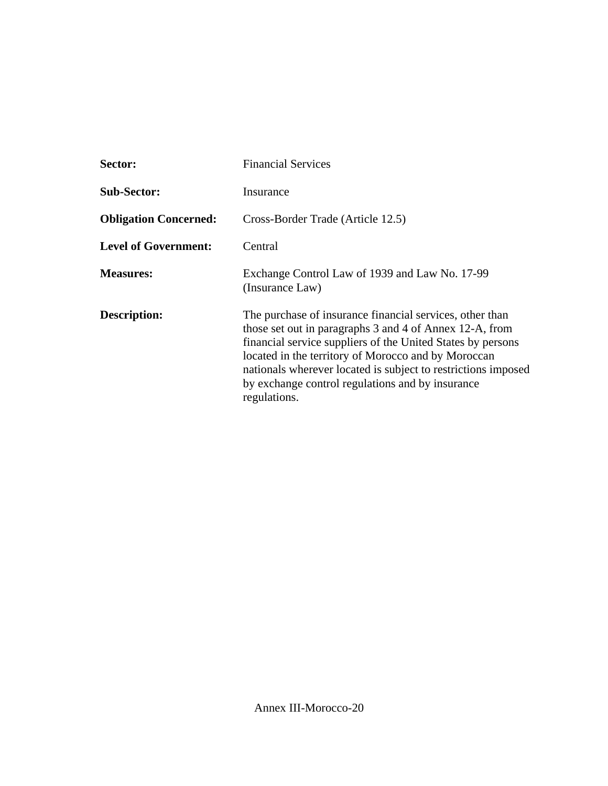| <b>Sector:</b>               | <b>Financial Services</b>                                                                                                                                                                                                                                                                                                                                                      |  |
|------------------------------|--------------------------------------------------------------------------------------------------------------------------------------------------------------------------------------------------------------------------------------------------------------------------------------------------------------------------------------------------------------------------------|--|
| <b>Sub-Sector:</b>           | Insurance                                                                                                                                                                                                                                                                                                                                                                      |  |
| <b>Obligation Concerned:</b> | Cross-Border Trade (Article 12.5)                                                                                                                                                                                                                                                                                                                                              |  |
| <b>Level of Government:</b>  | Central                                                                                                                                                                                                                                                                                                                                                                        |  |
| <b>Measures:</b>             | Exchange Control Law of 1939 and Law No. 17-99<br>(Insurance Law)                                                                                                                                                                                                                                                                                                              |  |
| <b>Description:</b>          | The purchase of insurance financial services, other than<br>those set out in paragraphs 3 and 4 of Annex 12-A, from<br>financial service suppliers of the United States by persons<br>located in the territory of Morocco and by Moroccan<br>nationals wherever located is subject to restrictions imposed<br>by exchange control regulations and by insurance<br>regulations. |  |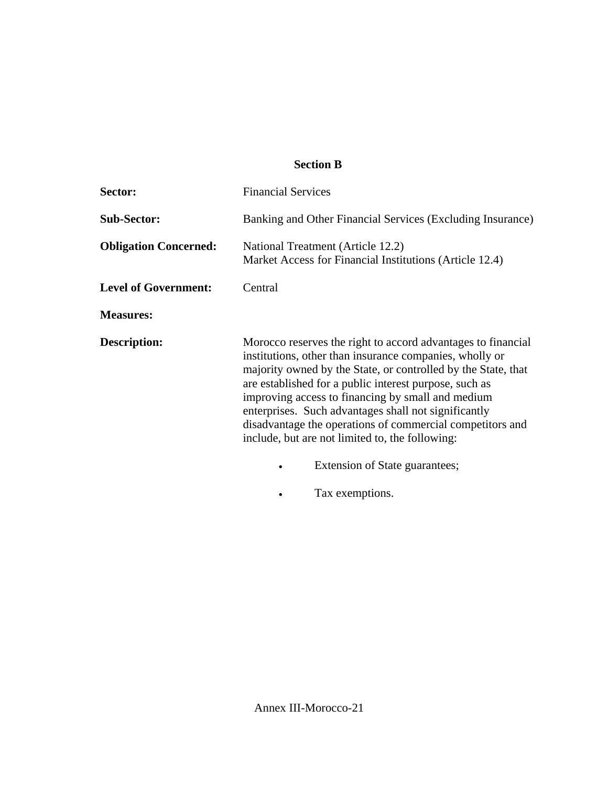### **Section B**

| Sector:                      | <b>Financial Services</b>                                                                                                                                                                                                                                                                                                                                                                                                                                                                                         |
|------------------------------|-------------------------------------------------------------------------------------------------------------------------------------------------------------------------------------------------------------------------------------------------------------------------------------------------------------------------------------------------------------------------------------------------------------------------------------------------------------------------------------------------------------------|
| <b>Sub-Sector:</b>           | Banking and Other Financial Services (Excluding Insurance)                                                                                                                                                                                                                                                                                                                                                                                                                                                        |
| <b>Obligation Concerned:</b> | National Treatment (Article 12.2)<br>Market Access for Financial Institutions (Article 12.4)                                                                                                                                                                                                                                                                                                                                                                                                                      |
| <b>Level of Government:</b>  | Central                                                                                                                                                                                                                                                                                                                                                                                                                                                                                                           |
| <b>Measures:</b>             |                                                                                                                                                                                                                                                                                                                                                                                                                                                                                                                   |
| <b>Description:</b>          | Morocco reserves the right to accord advantages to financial<br>institutions, other than insurance companies, wholly or<br>majority owned by the State, or controlled by the State, that<br>are established for a public interest purpose, such as<br>improving access to financing by small and medium<br>enterprises. Such advantages shall not significantly<br>disadvantage the operations of commercial competitors and<br>include, but are not limited to, the following:<br>Extension of State guarantees; |

• Tax exemptions.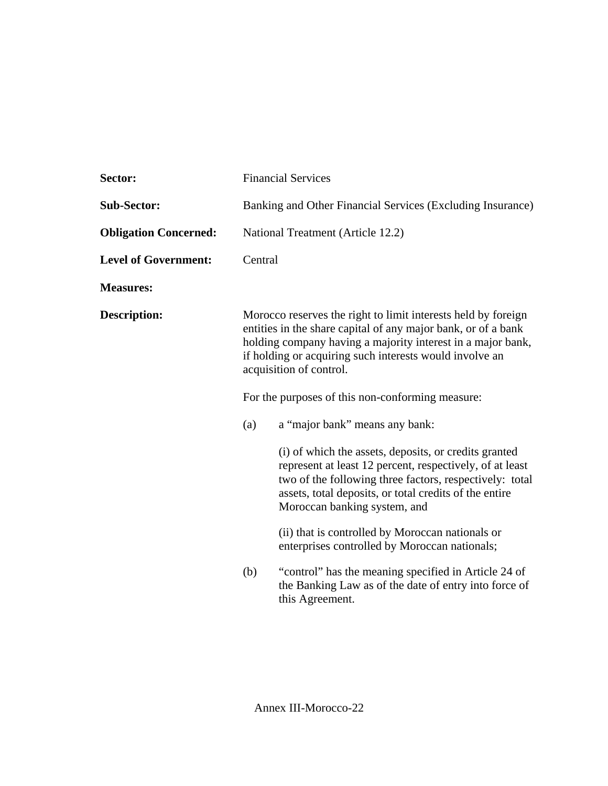| Sector:                      | <b>Financial Services</b>                                                                                                                                                                                                                                                                                                               |                                                                                                                                                                                                                                                                        |
|------------------------------|-----------------------------------------------------------------------------------------------------------------------------------------------------------------------------------------------------------------------------------------------------------------------------------------------------------------------------------------|------------------------------------------------------------------------------------------------------------------------------------------------------------------------------------------------------------------------------------------------------------------------|
| <b>Sub-Sector:</b>           | Banking and Other Financial Services (Excluding Insurance)                                                                                                                                                                                                                                                                              |                                                                                                                                                                                                                                                                        |
| <b>Obligation Concerned:</b> | National Treatment (Article 12.2)                                                                                                                                                                                                                                                                                                       |                                                                                                                                                                                                                                                                        |
| <b>Level of Government:</b>  | Central                                                                                                                                                                                                                                                                                                                                 |                                                                                                                                                                                                                                                                        |
| <b>Measures:</b>             |                                                                                                                                                                                                                                                                                                                                         |                                                                                                                                                                                                                                                                        |
| <b>Description:</b>          | Morocco reserves the right to limit interests held by foreign<br>entities in the share capital of any major bank, or of a bank<br>holding company having a majority interest in a major bank,<br>if holding or acquiring such interests would involve an<br>acquisition of control.<br>For the purposes of this non-conforming measure: |                                                                                                                                                                                                                                                                        |
|                              |                                                                                                                                                                                                                                                                                                                                         |                                                                                                                                                                                                                                                                        |
|                              | (a)                                                                                                                                                                                                                                                                                                                                     | a "major bank" means any bank:                                                                                                                                                                                                                                         |
|                              |                                                                                                                                                                                                                                                                                                                                         | (i) of which the assets, deposits, or credits granted<br>represent at least 12 percent, respectively, of at least<br>two of the following three factors, respectively: total<br>assets, total deposits, or total credits of the entire<br>Moroccan banking system, and |
|                              |                                                                                                                                                                                                                                                                                                                                         | (ii) that is controlled by Moroccan nationals or<br>enterprises controlled by Moroccan nationals;                                                                                                                                                                      |
|                              | (b)                                                                                                                                                                                                                                                                                                                                     | "control" has the meaning specified in Article 24 of<br>the Banking Law as of the date of entry into force of<br>this Agreement.                                                                                                                                       |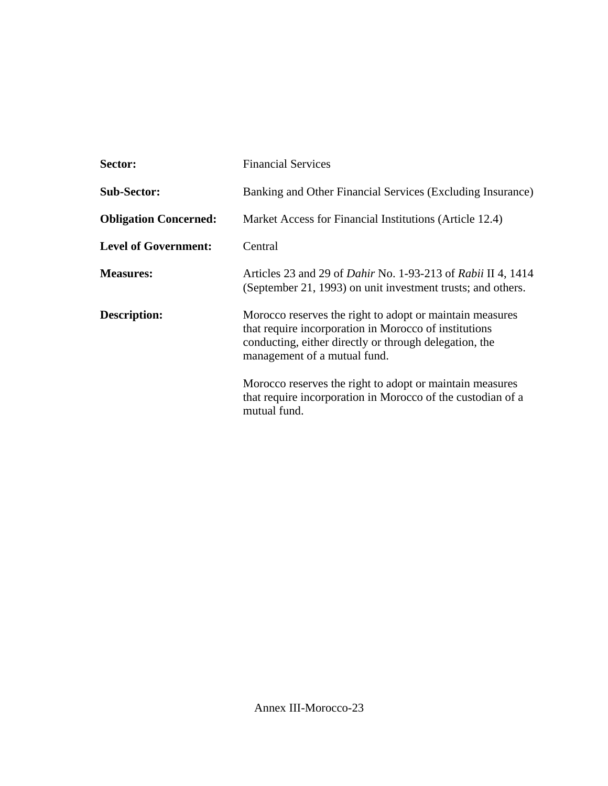| <b>Financial Services</b>                                                                                                                                                                                   |  |
|-------------------------------------------------------------------------------------------------------------------------------------------------------------------------------------------------------------|--|
| Banking and Other Financial Services (Excluding Insurance)                                                                                                                                                  |  |
| Market Access for Financial Institutions (Article 12.4)                                                                                                                                                     |  |
| Central                                                                                                                                                                                                     |  |
| Articles 23 and 29 of <i>Dahir</i> No. 1-93-213 of <i>Rabii</i> II 4, 1414<br>(September 21, 1993) on unit investment trusts; and others.                                                                   |  |
| Morocco reserves the right to adopt or maintain measures<br>that require incorporation in Morocco of institutions<br>conducting, either directly or through delegation, the<br>management of a mutual fund. |  |
| Morocco reserves the right to adopt or maintain measures<br>that require incorporation in Morocco of the custodian of a<br>mutual fund.                                                                     |  |
|                                                                                                                                                                                                             |  |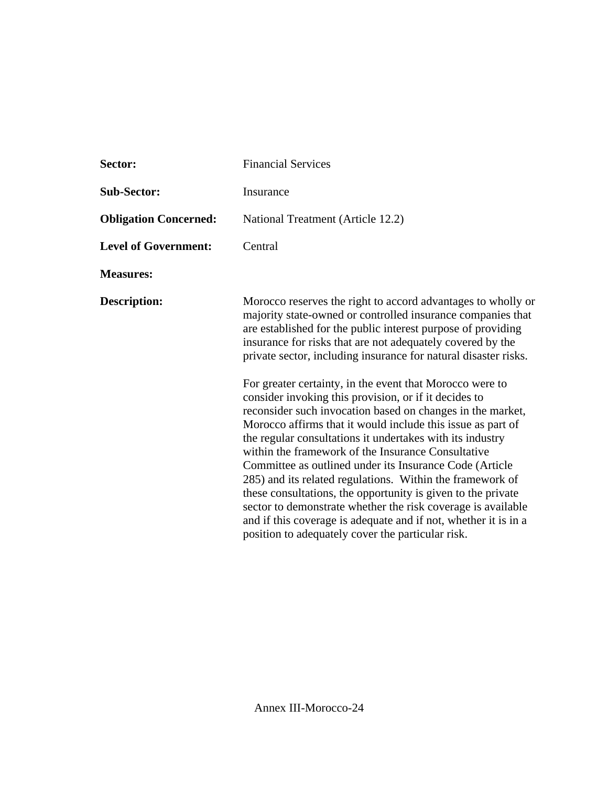| Sector:                      | <b>Financial Services</b>                                                                                                                                                                                                                                                                                                                                                                                                                                                                                                                                                                                                                                                                                                                                                                                                                                                                                                                                                                                                                                                         |  |
|------------------------------|-----------------------------------------------------------------------------------------------------------------------------------------------------------------------------------------------------------------------------------------------------------------------------------------------------------------------------------------------------------------------------------------------------------------------------------------------------------------------------------------------------------------------------------------------------------------------------------------------------------------------------------------------------------------------------------------------------------------------------------------------------------------------------------------------------------------------------------------------------------------------------------------------------------------------------------------------------------------------------------------------------------------------------------------------------------------------------------|--|
| <b>Sub-Sector:</b>           | Insurance                                                                                                                                                                                                                                                                                                                                                                                                                                                                                                                                                                                                                                                                                                                                                                                                                                                                                                                                                                                                                                                                         |  |
| <b>Obligation Concerned:</b> | National Treatment (Article 12.2)                                                                                                                                                                                                                                                                                                                                                                                                                                                                                                                                                                                                                                                                                                                                                                                                                                                                                                                                                                                                                                                 |  |
| <b>Level of Government:</b>  | Central                                                                                                                                                                                                                                                                                                                                                                                                                                                                                                                                                                                                                                                                                                                                                                                                                                                                                                                                                                                                                                                                           |  |
| <b>Measures:</b>             |                                                                                                                                                                                                                                                                                                                                                                                                                                                                                                                                                                                                                                                                                                                                                                                                                                                                                                                                                                                                                                                                                   |  |
| <b>Description:</b>          | Morocco reserves the right to accord advantages to wholly or<br>majority state-owned or controlled insurance companies that<br>are established for the public interest purpose of providing<br>insurance for risks that are not adequately covered by the<br>private sector, including insurance for natural disaster risks.<br>For greater certainty, in the event that Morocco were to<br>consider invoking this provision, or if it decides to<br>reconsider such invocation based on changes in the market,<br>Morocco affirms that it would include this issue as part of<br>the regular consultations it undertakes with its industry<br>within the framework of the Insurance Consultative<br>Committee as outlined under its Insurance Code (Article<br>285) and its related regulations. Within the framework of<br>these consultations, the opportunity is given to the private<br>sector to demonstrate whether the risk coverage is available<br>and if this coverage is adequate and if not, whether it is in a<br>position to adequately cover the particular risk. |  |